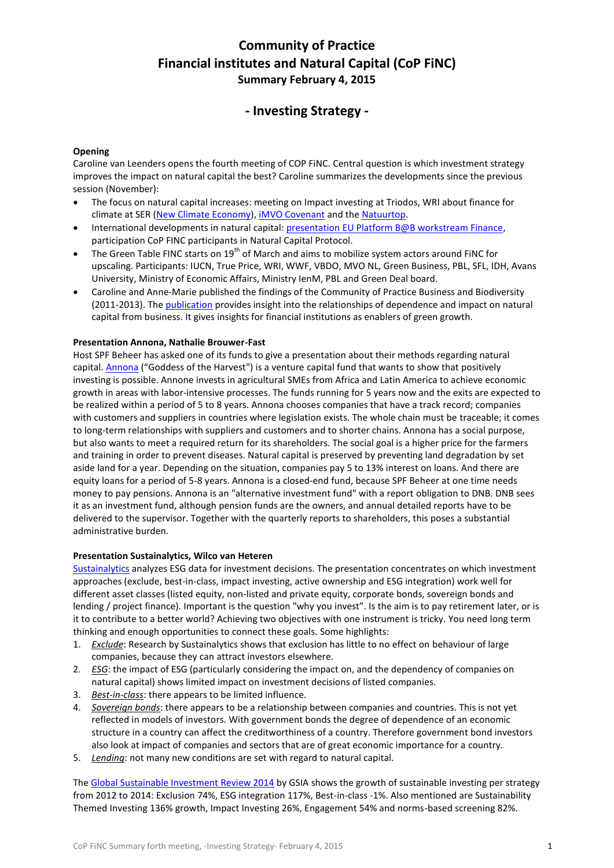# **Community of Practice Financial institutes and Natural Capital (CoP FiNC) Summary February 4, 2015**

## **- Investing Strategy -**

## **Opening**

Caroline van Leenders opens the fourth meeting of COP FiNC. Central question is which investment strategy improves the impact on natural capital the best? Caroline summarizes the developments since the previous session (November):

- The focus on natural capital increases: meeting on Impact investing at Triodos, WRI about finance for climate at SER [\(New Climate Economy\)](http://newclimateeconomy.net/), *IMVO Covenant* and the [Natuurtop.](http://www.natuurlijkinbeweging.org/verbinden-met-impact/)
- International developments in natural capital[: presentation EU Platform B@B workstream Finance,](http://ec.europa.eu/environment/biodiversity/business/about/the-platform/b-at-b-annual-conference_en.html) participation CoP FINC participants in Natural Capital Protocol.
- The Green Table FINC starts on 19<sup>th</sup> of March and aims to mobilize system actors around FINC for upscaling. Participants: IUCN, True Price, WRI, WWF, VBDO, MVO NL, Green Business, PBL, SFL, IDH, Avans University, Ministry of Economic Affairs, Ministry IenM, PBL and Green Deal board.
- Caroline and Anne-Marie published the findings of the Community of Practice Business and Biodiversity (2011-2013). Th[e publication](https://www.duurzaamdoor.nl/bedrijven-en-biodiversiteit) provides insight into the relationships of dependence and impact on natural capital from business. It gives insights for financial institutions as enablers of green growth.

## **Presentation Annona, Nathalie Brouwer-Fast**

Host SPF Beheer has asked one of its funds to give a presentation about their methods regarding natural capital. **Annona** ("Goddess of the Harvest") is a venture capital fund that wants to show that positively investing is possible. Annone invests in agricultural SMEs from Africa and Latin America to achieve economic growth in areas with labor-intensive processes. The funds running for 5 years now and the exits are expected to be realized within a period of 5 to 8 years. Annona chooses companies that have a track record; companies with customers and suppliers in countries where legislation exists. The whole chain must be traceable; it comes to long-term relationships with suppliers and customers and to shorter chains. Annona has a social purpose, but also wants to meet a required return for its shareholders. The social goal is a higher price for the farmers and training in order to prevent diseases. Natural capital is preserved by preventing land degradation by set aside land for a year. Depending on the situation, companies pay 5 to 13% interest on loans. And there are equity loans for a period of 5-8 years. Annona is a closed-end fund, because SPF Beheer at one time needs money to pay pensions. Annona is an "alternative investment fund" with a report obligation to DNB. DNB sees it as an investment fund, although pension funds are the owners, and annual detailed reports have to be delivered to the supervisor. Together with the quarterly reports to shareholders, this poses a substantial administrative burden.

## **Presentation Sustainalytics, Wilco van Heteren**

[Sustainalytics](http://www.sustainalytics.com/) analyzes ESG data for investment decisions. The presentation concentrates on which investment approaches (exclude, best-in-class, impact investing, active ownership and ESG integration) work well for different asset classes (listed equity, non-listed and private equity, corporate bonds, sovereign bonds and lending / project finance). Important is the question "why you invest". Is the aim is to pay retirement later, or is it to contribute to a better world? Achieving two objectives with one instrument is tricky. You need long term thinking and enough opportunities to connect these goals. Some highlights:

- 1. *Exclude*: Research by Sustainalytics shows that exclusion has little to no effect on behaviour of large companies, because they can attract investors elsewhere.
- 2. *ESG*: the impact of ESG (particularly considering the impact on, and the dependency of companies on natural capital) shows limited impact on investment decisions of listed companies.
- 3. *Best-in-class*: there appears to be limited influence.
- 4. *Sovereign bonds*: there appears to be a relationship between companies and countries. This is not yet reflected in models of investors. With government bonds the degree of dependence of an economic structure in a country can affect the creditworthiness of a country. Therefore government bond investors also look at impact of companies and sectors that are of great economic importance for a country.
- 5. *Lending*: not many new conditions are set with regard to natural capital.

The [Global Sustainable Investment Review 2014](http://www.gsi-alliance.org/members-resources/global-sustainable-investment-review-2014/) by GSIA shows the growth of sustainable investing per strategy from 2012 to 2014: Exclusion 74%, ESG integration 117%, Best-in-class -1%. Also mentioned are Sustainability Themed Investing 136% growth, Impact Investing 26%, Engagement 54% and norms-based screening 82%.